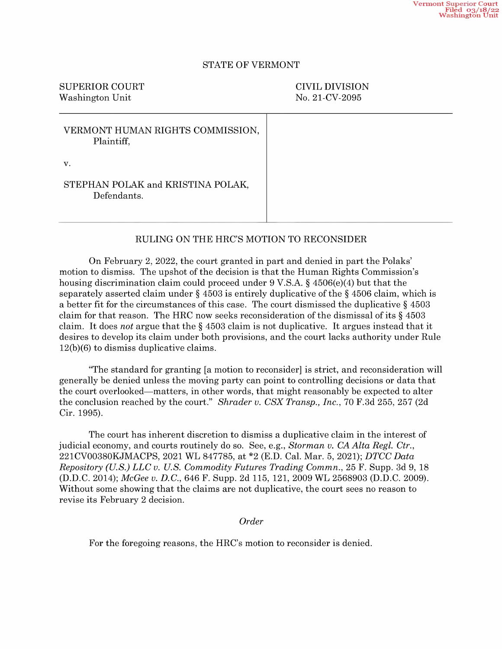## STATE OF VERMONT

SUPERIOR COURT CIVIL DIVISION Washington Unit No. 21-CV-2095

| VERMONT HUMAN RIGHTS COMMISSION,<br>Plaintiff,   |  |
|--------------------------------------------------|--|
| v.                                               |  |
| STEPHAN POLAK and KRISTINA POLAK,<br>Defendants. |  |

## RULING ON THE HRC'S MOTION TO RECONSIDER

On February 2, 2022, the court granted in part and denied in part the Polaks' motion to dismiss. The upshot of the decision is that the Human Rights Commission's housing discrimination claim could proceed under  $9 \text{ V.S.A.}$   $\S$  4506(e)(4) but that the separately asserted claim under  $\S$  4503 is entirely duplicative of the  $\S$  4506 claim, which is a better fit for the circumstances of this case. The court dismissed the duplicative  $\S$  4503 claim for that reason. The HRC now seeks reconsideration of the dismissal of its  $\S$  4503 claim. It does not argue that the  $\S$  4503 claim is not duplicative. It argues instead that it desires to develop its claim under both provisions, and the court lacks authority under Rule 12(b)(6) to dismiss duplicative claims.

"The standard for granting [a motion t0 reconsider] is strict, and reconsideration will generally be denied unless the moving party can point to controlling decisions or data that the court overlooked—matters, in other words, that might reasonably be expected to alter the conclusion reached by the court." Shrader v. CSX Transp., Inc., 70 F.3d 255, 257 (2d Cir. 1995).

The court has inherent discretion to dismiss duplicative claim in the interest of judicial economy, and courts routinely do so. See, e.g., Storman v. CA Alta Regl. Ctr., 22lCVOO380KJMACPS, <sup>2021</sup> WL 847785, at \*2 (E.D. Cal. Mar. 5, 2021); DTCC Data Repository (U.S.) LLC v. U.S. Commodity Futures Trading Commn., <sup>25</sup> F. Supp. 3d 9, <sup>18</sup> (D.D.C. 2014); McGee v. D.C., 646 F. Supp. 2d 115, 121, 2009 WL 2568903 (D.D.C. 2009). Without some showing that the claims are not duplicative, the court sees no reason to revise its February 2 decision.

Order

For the foregoing reasons, the HRC's motion to reconsider is denied.